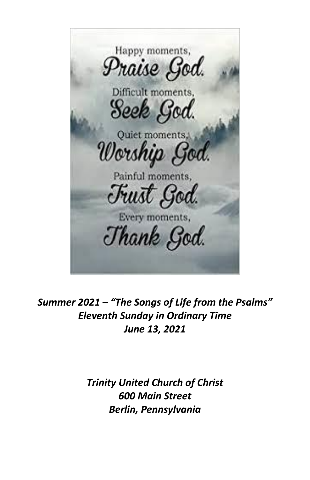Happy moments, Praise God. Difficult moments. Seek God. Quiet moments, Worship God. Painful moments, Fust God. Every moments, Thank God.

*Summer 2021 – "The Songs of Life from the Psalms" Eleventh Sunday in Ordinary Time June 13, 2021*

> *Trinity United Church of Christ 600 Main Street Berlin, Pennsylvania*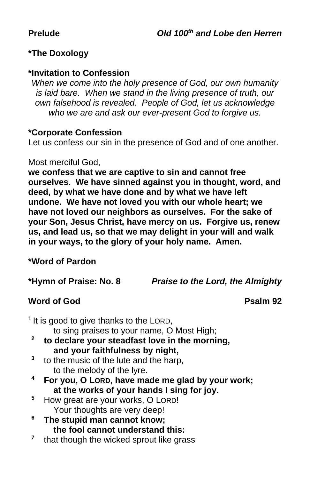# **\*The Doxology**

#### **\*Invitation to Confession**

*When we come into the holy presence of God, our own humanity is laid bare. When we stand in the living presence of truth, our own falsehood is revealed. People of God, let us acknowledge who we are and ask our ever-present God to forgive us.*

#### **\*Corporate Confession**

Let us confess our sin in the presence of God and of one another.

#### Most merciful God,

**we confess that we are captive to sin and cannot free ourselves. We have sinned against you in thought, word, and deed, by what we have done and by what we have left undone. We have not loved you with our whole heart; we have not loved our neighbors as ourselves. For the sake of your Son, Jesus Christ, have mercy on us. Forgive us, renew us, and lead us, so that we may delight in your will and walk in your ways, to the glory of your holy name. Amen.**

# **\*Word of Pardon**

**\*Hymn of Praise: No. 8** *Praise to the Lord, the Almighty*

# **Word of God Psalm 92**

|   | <sup>1</sup> It is good to give thanks to the LORD, |  |  |  |
|---|-----------------------------------------------------|--|--|--|
|   | to sing praises to your name, O Most High;          |  |  |  |
|   | to declare your steadfast love in the morning,      |  |  |  |
|   | and your faithfulness by night,                     |  |  |  |
| 3 | to the music of the lute and the harp,              |  |  |  |
|   | to the melody of the lyre.                          |  |  |  |
| 4 | For you, O LORD, have made me glad by your work;    |  |  |  |
|   | at the works of your hands I sing for joy.          |  |  |  |
| 5 | How great are your works, O LORD!                   |  |  |  |
|   | Your thoughts are very deep!                        |  |  |  |
| 6 | The stupid man cannot know;                         |  |  |  |
|   | the fool cannot understand this:                    |  |  |  |

**7** that though the wicked sprout like grass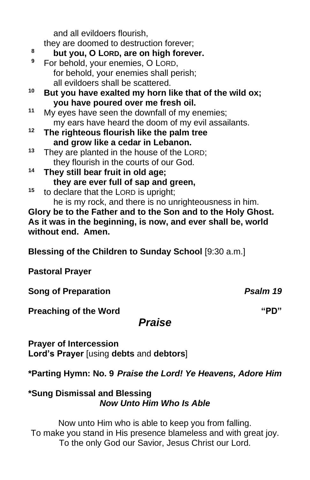and all evildoers flourish,

they are doomed to destruction forever;

- **<sup>8</sup> but you, O LORD, are on high forever.**
- **<sup>9</sup>** For behold, your enemies, O LORD, for behold, your enemies shall perish; all evildoers shall be scattered.
- **<sup>10</sup> But you have exalted my horn like that of the wild ox; you have poured over me fresh oil.**
- **<sup>11</sup>** My eyes have seen the downfall of my enemies; my ears have heard the doom of my evil assailants.
- **<sup>12</sup> The righteous flourish like the palm tree and grow like a cedar in Lebanon.**
- **<sup>13</sup>** They are planted in the house of the LORD; they flourish in the courts of our God.
- **<sup>14</sup> They still bear fruit in old age; they are ever full of sap and green,**
- **<sup>15</sup>** to declare that the LORD is upright; he is my rock, and there is no unrighteousness in him.

**Glory be to the Father and to the Son and to the Holy Ghost. As it was in the beginning, is now, and ever shall be, world without end. Amen.**

**Blessing of the Children to Sunday School** [9:30 a.m.]

**Pastoral Prayer**

**Song of Preparation** *Psalm 19* 

**Preaching of the Word "PD"**

# *Praise*

**Prayer of Intercession Lord's Prayer** [using **debts** and **debtors**]

**\*Parting Hymn: No. 9** *Praise the Lord! Ye Heavens, Adore Him*

### **\*Sung Dismissal and Blessing** *Now Unto Him Who Is Able*

Now unto Him who is able to keep you from falling. To make you stand in His presence blameless and with great joy. To the only God our Savior, Jesus Christ our Lord.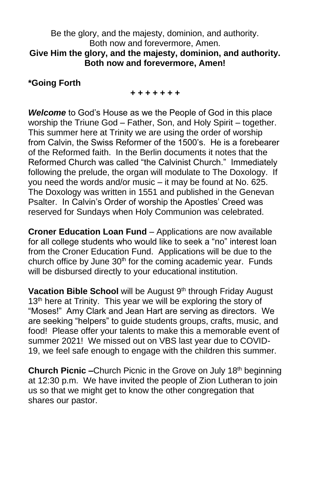#### Be the glory, and the majesty, dominion, and authority. Both now and forevermore, Amen. **Give Him the glory, and the majesty, dominion, and authority. Both now and forevermore, Amen!**

### **\*Going Forth**

#### *+ + + + + + +*

*Welcome* to God's House as we the People of God in this place worship the Triune God – Father, Son, and Holy Spirit – together. This summer here at Trinity we are using the order of worship from Calvin, the Swiss Reformer of the 1500's. He is a forebearer of the Reformed faith. In the Berlin documents it notes that the Reformed Church was called "the Calvinist Church." Immediately following the prelude, the organ will modulate to The Doxology. If you need the words and/or music – it may be found at No. 625. The Doxology was written in 1551 and published in the Genevan Psalter. In Calvin's Order of worship the Apostles' Creed was reserved for Sundays when Holy Communion was celebrated.

**Croner Education Loan Fund** – Applications are now available for all college students who would like to seek a "no" interest loan from the Croner Education Fund. Applications will be due to the church office by June  $30<sup>th</sup>$  for the coming academic year. Funds will be disbursed directly to your educational institution.

Vacation Bible School will be August 9<sup>th</sup> through Friday August 13<sup>th</sup> here at Trinity. This year we will be exploring the story of "Moses!" Amy Clark and Jean Hart are serving as directors. We are seeking "helpers" to guide students groups, crafts, music, and food! Please offer your talents to make this a memorable event of summer 2021! We missed out on VBS last year due to COVID-19, we feel safe enough to engage with the children this summer.

**Church Picnic –**Church Picnic in the Grove on July 18<sup>th</sup> beginning at 12:30 p.m. We have invited the people of Zion Lutheran to join us so that we might get to know the other congregation that shares our pastor.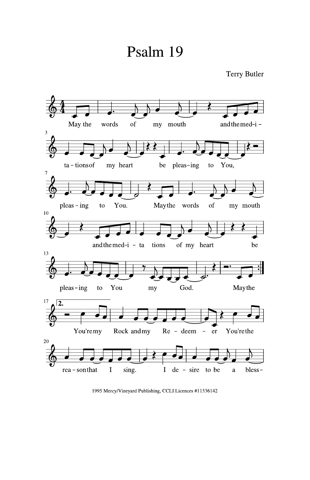# Psalm 19



1995 Mercy/Vineyard Publishing, CCLI Licences #11336142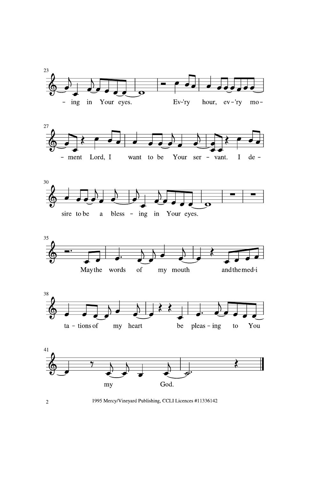











1995 Mercy/Vineyard Publishing, CCLI Licences #11336142

 $\overline{2}$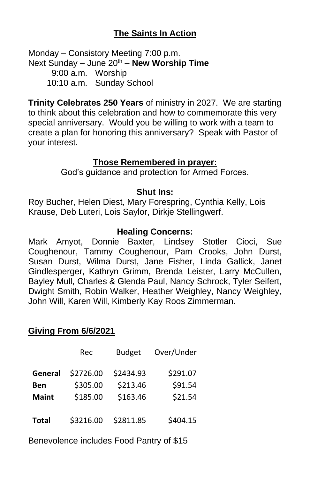# **The Saints In Action**

Monday – Consistory Meeting 7:00 p.m. Next Sunday – June 20<sup>th</sup> – **New Worship Time** 9:00 a.m. Worship 10:10 a.m. Sunday School

**Trinity Celebrates 250 Years** of ministry in 2027. We are starting to think about this celebration and how to commemorate this very special anniversary. Would you be willing to work with a team to create a plan for honoring this anniversary? Speak with Pastor of your interest.

#### **Those Remembered in prayer:**

God's guidance and protection for Armed Forces.

#### **Shut Ins:**

Roy Bucher, Helen Diest, Mary Forespring, Cynthia Kelly, Lois Krause, Deb Luteri, Lois Saylor, Dirkje Stellingwerf.

#### **Healing Concerns:**

Mark Amyot, Donnie Baxter, Lindsey Stotler Cioci, Sue Coughenour, Tammy Coughenour, Pam Crooks, John Durst, Susan Durst, Wilma Durst, Jane Fisher, Linda Gallick, Janet Gindlesperger, Kathryn Grimm, Brenda Leister, Larry McCullen, Bayley Mull, Charles & Glenda Paul, Nancy Schrock, Tyler Seifert, Dwight Smith, Robin Walker, Heather Weighley, Nancy Weighley, John Will, Karen Will, Kimberly Kay Roos Zimmerman.

#### **Giving From 6/6/2021**

|              | Rec       | <b>Budget</b> | Over/Under |
|--------------|-----------|---------------|------------|
| General      | \$2726.00 | \$2434.93     | \$291.07   |
| Ben          | \$305.00  | \$213.46      | \$91.54    |
| <b>Maint</b> | \$185.00  | \$163.46      | \$21.54    |
| <b>Total</b> | \$3216.00 | \$2811.85     | \$404.15   |

Benevolence includes Food Pantry of \$15